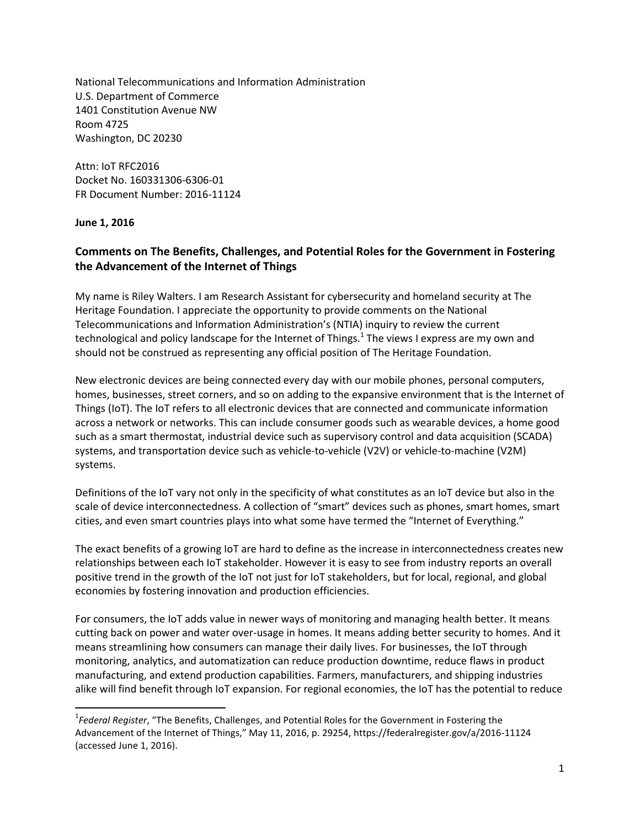National Telecommunications and Information Administration U.S. Department of Commerce 1401 Constitution Avenue NW Room 4725 Washington, DC 20230

Attn: IoT RFC2016 Docket No. 160331306-6306-01 FR Document Number: 2016-11124

**June 1, 2016**

 $\overline{\phantom{a}}$ 

## **Comments on The Benefits, Challenges, and Potential Roles for the Government in Fostering the Advancement of the Internet of Things**

My name is Riley Walters. I am Research Assistant for cybersecurity and homeland security at The Heritage Foundation. I appreciate the opportunity to provide comments on the National Telecommunications and Information Administration's (NTIA) inquiry to review the current technological and policy landscape for the Internet of Things.<sup>1</sup> The views I express are my own and should not be construed as representing any official position of The Heritage Foundation.

New electronic devices are being connected every day with our mobile phones, personal computers, homes, businesses, street corners, and so on adding to the expansive environment that is the Internet of Things (IoT). The IoT refers to all electronic devices that are connected and communicate information across a network or networks. This can include consumer goods such as wearable devices, a home good such as a smart thermostat, industrial device such as supervisory control and data acquisition (SCADA) systems, and transportation device such as vehicle-to-vehicle (V2V) or vehicle-to-machine (V2M) systems.

Definitions of the IoT vary not only in the specificity of what constitutes as an IoT device but also in the scale of device interconnectedness. A collection of "smart" devices such as phones, smart homes, smart cities, and even smart countries plays into what some have termed the "Internet of Everything."

The exact benefits of a growing IoT are hard to define as the increase in interconnectedness creates new relationships between each IoT stakeholder. However it is easy to see from industry reports an overall positive trend in the growth of the IoT not just for IoT stakeholders, but for local, regional, and global economies by fostering innovation and production efficiencies.

For consumers, the IoT adds value in newer ways of monitoring and managing health better. It means cutting back on power and water over-usage in homes. It means adding better security to homes. And it means streamlining how consumers can manage their daily lives. For businesses, the IoT through monitoring, analytics, and automatization can reduce production downtime, reduce flaws in product manufacturing, and extend production capabilities. Farmers, manufacturers, and shipping industries alike will find benefit through IoT expansion. For regional economies, the IoT has the potential to reduce

<sup>1</sup> *Federal Register*, "The Benefits, Challenges, and Potential Roles for the Government in Fostering the Advancement of the Internet of Things," May 11, 2016, p. 29254, https://federalregister.gov/a/2016-11124 (accessed June 1, 2016).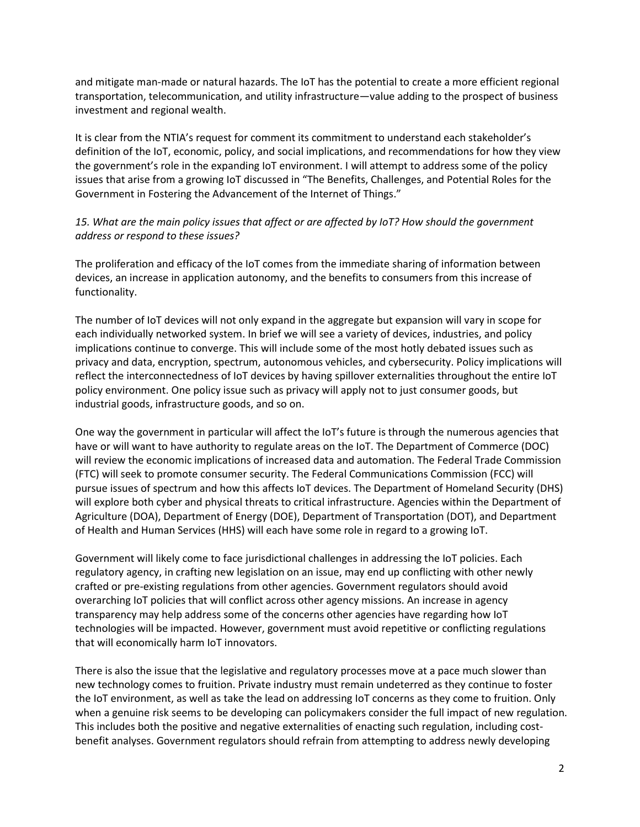and mitigate man-made or natural hazards. The IoT has the potential to create a more efficient regional transportation, telecommunication, and utility infrastructure—value adding to the prospect of business investment and regional wealth.

It is clear from the NTIA's request for comment its commitment to understand each stakeholder's definition of the IoT, economic, policy, and social implications, and recommendations for how they view the government's role in the expanding IoT environment. I will attempt to address some of the policy issues that arise from a growing IoT discussed in "The Benefits, Challenges, and Potential Roles for the Government in Fostering the Advancement of the Internet of Things."

## *15. What are the main policy issues that affect or are affected by IoT? How should the government address or respond to these issues?*

The proliferation and efficacy of the IoT comes from the immediate sharing of information between devices, an increase in application autonomy, and the benefits to consumers from this increase of functionality.

The number of IoT devices will not only expand in the aggregate but expansion will vary in scope for each individually networked system. In brief we will see a variety of devices, industries, and policy implications continue to converge. This will include some of the most hotly debated issues such as privacy and data, encryption, spectrum, autonomous vehicles, and cybersecurity. Policy implications will reflect the interconnectedness of IoT devices by having spillover externalities throughout the entire IoT policy environment. One policy issue such as privacy will apply not to just consumer goods, but industrial goods, infrastructure goods, and so on.

One way the government in particular will affect the IoT's future is through the numerous agencies that have or will want to have authority to regulate areas on the IoT. The Department of Commerce (DOC) will review the economic implications of increased data and automation. The Federal Trade Commission (FTC) will seek to promote consumer security. The Federal Communications Commission (FCC) will pursue issues of spectrum and how this affects IoT devices. The Department of Homeland Security (DHS) will explore both cyber and physical threats to critical infrastructure. Agencies within the Department of Agriculture (DOA), Department of Energy (DOE), Department of Transportation (DOT), and Department of Health and Human Services (HHS) will each have some role in regard to a growing IoT.

Government will likely come to face jurisdictional challenges in addressing the IoT policies. Each regulatory agency, in crafting new legislation on an issue, may end up conflicting with other newly crafted or pre-existing regulations from other agencies. Government regulators should avoid overarching IoT policies that will conflict across other agency missions. An increase in agency transparency may help address some of the concerns other agencies have regarding how IoT technologies will be impacted. However, government must avoid repetitive or conflicting regulations that will economically harm IoT innovators.

There is also the issue that the legislative and regulatory processes move at a pace much slower than new technology comes to fruition. Private industry must remain undeterred as they continue to foster the IoT environment, as well as take the lead on addressing IoT concerns as they come to fruition. Only when a genuine risk seems to be developing can policymakers consider the full impact of new regulation. This includes both the positive and negative externalities of enacting such regulation, including costbenefit analyses. Government regulators should refrain from attempting to address newly developing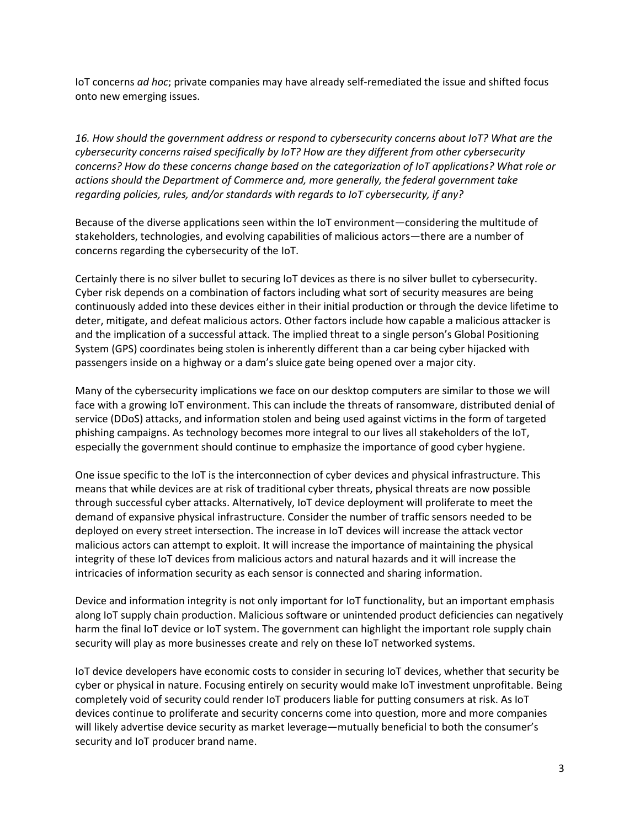IoT concerns *ad hoc*; private companies may have already self-remediated the issue and shifted focus onto new emerging issues.

*16. How should the government address or respond to cybersecurity concerns about IoT? What are the cybersecurity concerns raised specifically by IoT? How are they different from other cybersecurity concerns? How do these concerns change based on the categorization of IoT applications? What role or actions should the Department of Commerce and, more generally, the federal government take regarding policies, rules, and/or standards with regards to IoT cybersecurity, if any?* 

Because of the diverse applications seen within the IoT environment—considering the multitude of stakeholders, technologies, and evolving capabilities of malicious actors—there are a number of concerns regarding the cybersecurity of the IoT.

Certainly there is no silver bullet to securing IoT devices as there is no silver bullet to cybersecurity. Cyber risk depends on a combination of factors including what sort of security measures are being continuously added into these devices either in their initial production or through the device lifetime to deter, mitigate, and defeat malicious actors. Other factors include how capable a malicious attacker is and the implication of a successful attack. The implied threat to a single person's Global Positioning System (GPS) coordinates being stolen is inherently different than a car being cyber hijacked with passengers inside on a highway or a dam's sluice gate being opened over a major city.

Many of the cybersecurity implications we face on our desktop computers are similar to those we will face with a growing IoT environment. This can include the threats of ransomware, distributed denial of service (DDoS) attacks, and information stolen and being used against victims in the form of targeted phishing campaigns. As technology becomes more integral to our lives all stakeholders of the IoT, especially the government should continue to emphasize the importance of good cyber hygiene.

One issue specific to the IoT is the interconnection of cyber devices and physical infrastructure. This means that while devices are at risk of traditional cyber threats, physical threats are now possible through successful cyber attacks. Alternatively, IoT device deployment will proliferate to meet the demand of expansive physical infrastructure. Consider the number of traffic sensors needed to be deployed on every street intersection. The increase in IoT devices will increase the attack vector malicious actors can attempt to exploit. It will increase the importance of maintaining the physical integrity of these IoT devices from malicious actors and natural hazards and it will increase the intricacies of information security as each sensor is connected and sharing information.

Device and information integrity is not only important for IoT functionality, but an important emphasis along IoT supply chain production. Malicious software or unintended product deficiencies can negatively harm the final IoT device or IoT system. The government can highlight the important role supply chain security will play as more businesses create and rely on these IoT networked systems.

IoT device developers have economic costs to consider in securing IoT devices, whether that security be cyber or physical in nature. Focusing entirely on security would make IoT investment unprofitable. Being completely void of security could render IoT producers liable for putting consumers at risk. As IoT devices continue to proliferate and security concerns come into question, more and more companies will likely advertise device security as market leverage—mutually beneficial to both the consumer's security and IoT producer brand name.